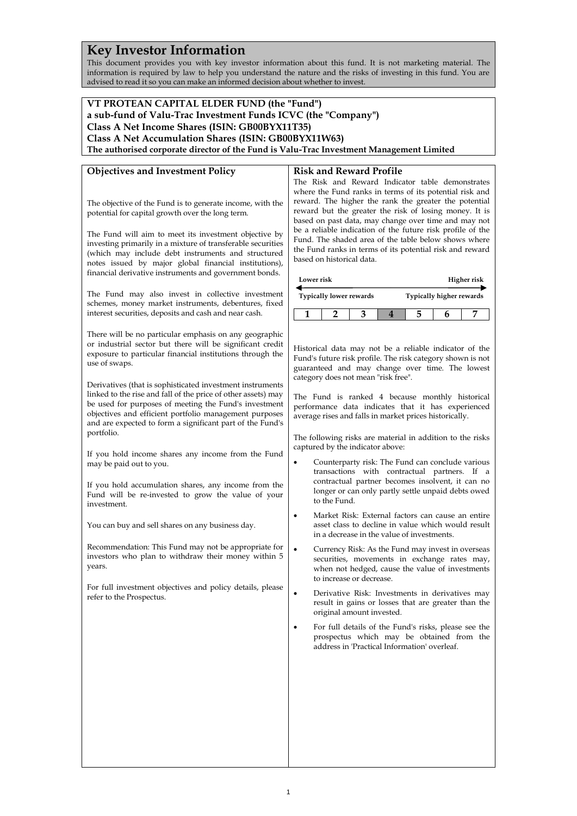# **Key Investor Information**

This document provides you with key investor information about this fund. It is not marketing material. The information is required by law to help you understand the nature and the risks of investing in this fund. You are advised to read it so you can make an informed decision about whether to invest.

#### **VT PROTEAN CAPITAL ELDER FUND (the "Fund") a sub-fund of Valu-Trac Investment Funds ICVC (the "Company") Class A Net Income Shares (ISIN: GB00BYX11T35) Class A Net Accumulation Shares (ISIN: GB00BYX11W63) The authorised corporate director of the Fund is Valu-Trac Investment Management Limited Objectives and Investment Policy** The objective of the Fund is to generate income, with the potential for capital growth over the long term. The Fund will aim to meet its investment objective by investing primarily in a mixture of transferable securities (which may include debt instruments and structured notes issued by major global financial institutions), financial derivative instruments and government bonds. The Fund may also invest in collective investment schemes, money market instruments, debentures, fixed interest securities, deposits and cash and near cash. There will be no particular emphasis on any geographic or industrial sector but there will be significant credit exposure to particular financial institutions through the use of swaps. Derivatives (that is sophisticated investment instruments linked to the rise and fall of the price of other assets) may be used for purposes of meeting the Fund's investment objectives and efficient portfolio management purposes and are expected to form a significant part of the Fund's portfolio. If you hold income shares any income from the Fund may be paid out to you. If you hold accumulation shares, any income from the Fund will be re-invested to grow the value of your investment. You can buy and sell shares on any business day. Recommendation: This Fund may not be appropriate for investors who plan to withdraw their money within 5 years. For full investment objectives and policy details, please refer to the Prospectus. **Risk and Reward Profile** The Risk and Reward Indicator table demonstrates where the Fund ranks in terms of its potential risk and reward. The higher the rank the greater the potential reward but the greater the risk of losing money. It is based on past data, may change over time and may not be a reliable indication of the future risk profile of the Fund. The shaded area of the table below shows where the Fund ranks in terms of its potential risk and reward based on historical data. **Lower risk Typically lower rewards Higher risk Typically higher rewards 1 2 3 4 5 6 7** Historical data may not be a reliable indicator of the Fund's future risk profile. The risk category shown is not guaranteed and may change over time. The lowest category does not mean "risk free". The Fund is ranked 4 because monthly historical performance data indicates that it has experienced average rises and falls in market prices historically. The following risks are material in addition to the risks captured by the indicator above: • Counterparty risk: The Fund can conclude various transactions with contractual partners. If a contractual partner becomes insolvent, it can no longer or can only partly settle unpaid debts owed to the Fund. • Market Risk: External factors can cause an entire asset class to decline in value which would result in a decrease in the value of investments. • Currency Risk: As the Fund may invest in overseas securities, movements in exchange rates may, when not hedged, cause the value of investments to increase or decrease. • Derivative Risk: Investments in derivatives may result in gains or losses that are greater than the original amount invested. • For full details of the Fund's risks, please see the prospectus which may be obtained from the address in 'Practical Information' overleaf.